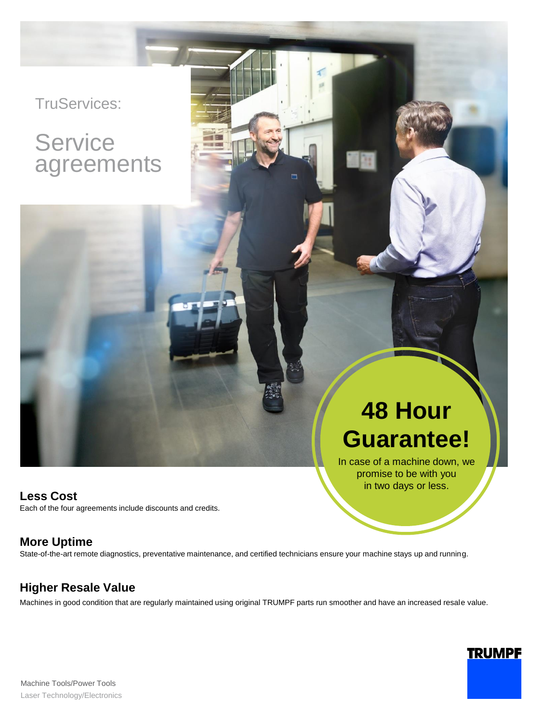## TruServices:

## **Service** agreements

**Less Cost** Each of the four agreements include discounts and credits.

# **48 Hour Guarantee!**

In case of a machine down, we promise to be with you in two days or less.

**TRUMPF** 

### **More Uptime**

State-of-the-art remote diagnostics, preventative maintenance, and certified technicians ensure your machine stays up and running.

## **Higher Resale Value**

Machines in good condition that are regularly maintained using original TRUMPF parts run smoother and have an increased resale value.